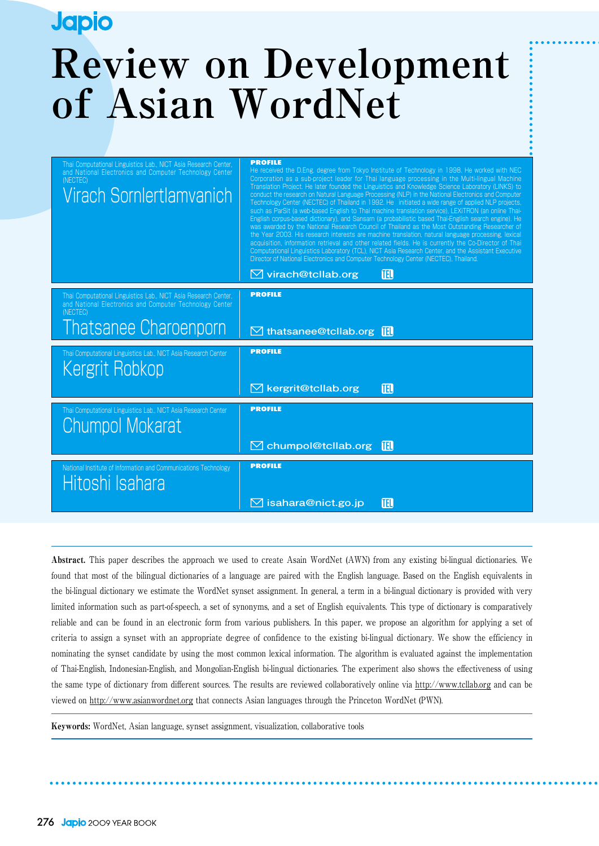# **Japio Review on Development of Asian WordNet**

| Thai Computational Linguistics Lab., NICT Asia Research Center,<br>and National Electronics and Computer Technology Center<br>(NECTEC)<br>Virach Sornlertlamvanich | <b>PROFILE</b><br>He received the D.Eng. degree from Tokyo Institute of Technology in 1998. He worked with NEC<br>Corporation as a sub-project leader for Thai language processing in the Multi-lingual Machine<br>Translation Project. He later founded the Linguistics and Knowledge Science Laboratory (LINKS) to<br>conduct the research on Natural Language Processing (NLP) in the National Electronics and Computer<br>Technology Center (NECTEC) of Thailand in 1992. He initiated a wide range of applied NLP projects,<br>such as ParSit (a web-based English to Thai machine translation service), LEXiTRON (an online Thai-<br>English corpus-based dictionary), and Sansarn (a probabilistic based Thai-English search engine). He<br>was awarded by the National Research Council of Thailand as the Most Outstanding Researcher of<br>the Year 2003. His research interests are machine translation, natural language processing, lexical<br>acquisition, information retrieval and other related fields. He is currently the Co-Director of Thai<br>Computational Linguistics Laboratory (TCL), NICT Asia Research Center, and the Assistant Executive<br>Director of National Electronics and Computer Technology Center (NECTEC), Thailand. |
|--------------------------------------------------------------------------------------------------------------------------------------------------------------------|---------------------------------------------------------------------------------------------------------------------------------------------------------------------------------------------------------------------------------------------------------------------------------------------------------------------------------------------------------------------------------------------------------------------------------------------------------------------------------------------------------------------------------------------------------------------------------------------------------------------------------------------------------------------------------------------------------------------------------------------------------------------------------------------------------------------------------------------------------------------------------------------------------------------------------------------------------------------------------------------------------------------------------------------------------------------------------------------------------------------------------------------------------------------------------------------------------------------------------------------------------------|
|                                                                                                                                                                    | ITEL.<br>$\boxtimes$ virach@tcllab.org                                                                                                                                                                                                                                                                                                                                                                                                                                                                                                                                                                                                                                                                                                                                                                                                                                                                                                                                                                                                                                                                                                                                                                                                                        |
| Thai Computational Linguistics Lab., NICT Asia Research Center,<br>and National Electronics and Computer Technology Center<br>(NECTEC)                             | <b>PROFILE</b>                                                                                                                                                                                                                                                                                                                                                                                                                                                                                                                                                                                                                                                                                                                                                                                                                                                                                                                                                                                                                                                                                                                                                                                                                                                |
| <b>Thatsanee Charoenporn</b>                                                                                                                                       | $\boxtimes$ thatsanee@tcllab.org $\blacksquare$                                                                                                                                                                                                                                                                                                                                                                                                                                                                                                                                                                                                                                                                                                                                                                                                                                                                                                                                                                                                                                                                                                                                                                                                               |
| Thai Computational Linguistics Lab., NICT Asia Research Center<br>Kergrit Robkop                                                                                   | <b>PROFILE</b>                                                                                                                                                                                                                                                                                                                                                                                                                                                                                                                                                                                                                                                                                                                                                                                                                                                                                                                                                                                                                                                                                                                                                                                                                                                |
|                                                                                                                                                                    | 吅<br>$\boxtimes$ kergrit@tcllab.org                                                                                                                                                                                                                                                                                                                                                                                                                                                                                                                                                                                                                                                                                                                                                                                                                                                                                                                                                                                                                                                                                                                                                                                                                           |
| Thai Computational Linguistics Lab., NICT Asia Research Center<br><b>Chumpol Mokarat</b>                                                                           | <b>PROFILE</b>                                                                                                                                                                                                                                                                                                                                                                                                                                                                                                                                                                                                                                                                                                                                                                                                                                                                                                                                                                                                                                                                                                                                                                                                                                                |
|                                                                                                                                                                    | $\boxtimes$ chumpol@tcllab.org<br><b>TEL</b>                                                                                                                                                                                                                                                                                                                                                                                                                                                                                                                                                                                                                                                                                                                                                                                                                                                                                                                                                                                                                                                                                                                                                                                                                  |
| National Institute of Information and Communications Technology<br>Hitoshi Isahara                                                                                 | <b>PROFILE</b>                                                                                                                                                                                                                                                                                                                                                                                                                                                                                                                                                                                                                                                                                                                                                                                                                                                                                                                                                                                                                                                                                                                                                                                                                                                |
|                                                                                                                                                                    | ITEL,<br>$\boxtimes$ isahara@nict.go.jp                                                                                                                                                                                                                                                                                                                                                                                                                                                                                                                                                                                                                                                                                                                                                                                                                                                                                                                                                                                                                                                                                                                                                                                                                       |

Abstract. This paper describes the approach we used to create Asain WordNet (AWN) from any existing bi-lingual dictionaries. We found that most of the bilingual dictionaries of a language are paired with the English language. Based on the English equivalents in the bi-lingual dictionary we estimate the WordNet synset assignment. In general, a term in a bi-lingual dictionary is provided with very limited information such as part-of-speech, a set of synonyms, and a set of English equivalents. This type of dictionary is comparatively reliable and can be found in an electronic form from various publishers. In this paper, we propose an algorithm for applying a set of criteria to assign a synset with an appropriate degree of confidence to the existing bi-lingual dictionary. We show the efficiency in nominating the synset candidate by using the most common lexical information. The algorithm is evaluated against the implementation of Thai-English, Indonesian-English, and Mongolian-English bi-lingual dictionaries. The experiment also shows the effectiveness of using the same type of dictionary from different sources. The results are reviewed collaboratively online via http://www.tcllab.org and can be viewed on http://www.asianwordnet.org that connects Asian languages through the Princeton WordNet (PWN).

Keywords: WordNet, Asian language, synset assignment, visualization, collaborative tools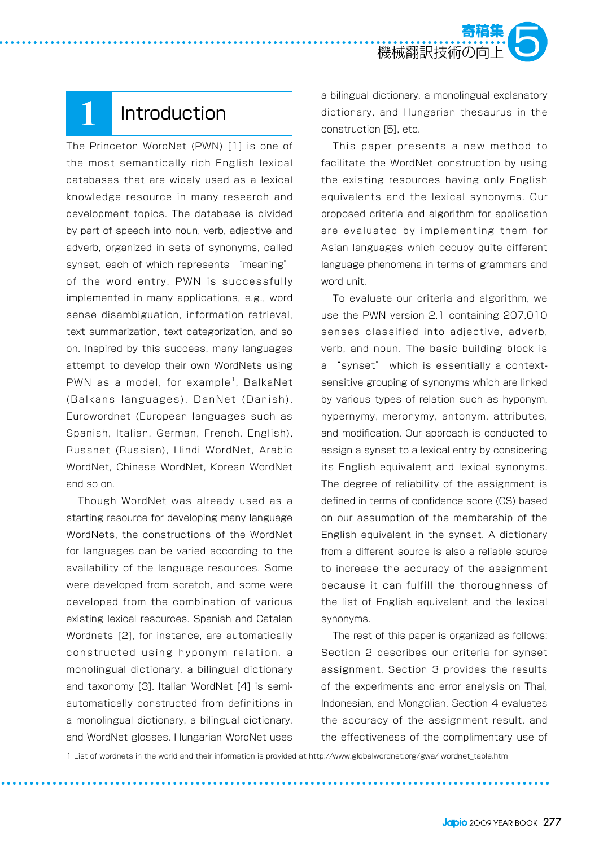

### **1** Introduction

The Princeton WordNet (PWN) [1] is one of the most semantically rich English lexical databases that are widely used as a lexical knowledge resource in many research and development topics. The database is divided by part of speech into noun, verb, adjective and adverb, organized in sets of synonyms, called synset, each of which represents "meaning" of the word entry. PWN is successfully implemented in many applications, e.g., word sense disambiguation, information retrieval, text summarization, text categorization, and so on. Inspired by this success, many languages attempt to develop their own WordNets using PWN as a model, for example<sup>1</sup>, BalkaNet (Balkans languages), DanNet (Danish), Eurowordnet (European languages such as Spanish, Italian, German, French, English), Russnet (Russian), Hindi WordNet, Arabic WordNet, Chinese WordNet, Korean WordNet and so on.

Though WordNet was already used as a starting resource for developing many language WordNets, the constructions of the WordNet for languages can be varied according to the availability of the language resources. Some were developed from scratch, and some were developed from the combination of various existing lexical resources. Spanish and Catalan Wordnets [2], for instance, are automatically constructed using hyponym relation, a monolingual dictionary, a bilingual dictionary and taxonomy [3]. Italian WordNet [4] is semiautomatically constructed from definitions in a monolingual dictionary, a bilingual dictionary, and WordNet glosses. Hungarian WordNet uses

a bilingual dictionary, a monolingual explanatory dictionary, and Hungarian thesaurus in the construction [5], etc.

This paper presents a new method to facilitate the WordNet construction by using the existing resources having only English equivalents and the lexical synonyms. Our proposed criteria and algorithm for application are evaluated by implementing them for Asian languages which occupy quite different language phenomena in terms of grammars and word unit.

To evaluate our criteria and algorithm, we use the PWN version 2.1 containing 207,010 senses classified into adjective, adverb, verb, and noun. The basic building block is a "synset" which is essentially a contextsensitive grouping of synonyms which are linked by various types of relation such as hyponym, hypernymy, meronymy, antonym, attributes, and modification. Our approach is conducted to assign a synset to a lexical entry by considering its English equivalent and lexical synonyms. The degree of reliability of the assignment is defined in terms of confidence score (CS) based on our assumption of the membership of the English equivalent in the synset. A dictionary from a different source is also a reliable source to increase the accuracy of the assignment because it can fulfill the thoroughness of the list of English equivalent and the lexical synonyms.

The rest of this paper is organized as follows: Section 2 describes our criteria for synset assignment. Section 3 provides the results of the experiments and error analysis on Thai, Indonesian, and Mongolian. Section 4 evaluates the accuracy of the assignment result, and the effectiveness of the complimentary use of

1 List of wordnets in the world and their information is provided at http://www.globalwordnet.org/gwa/ wordnet\_table.htm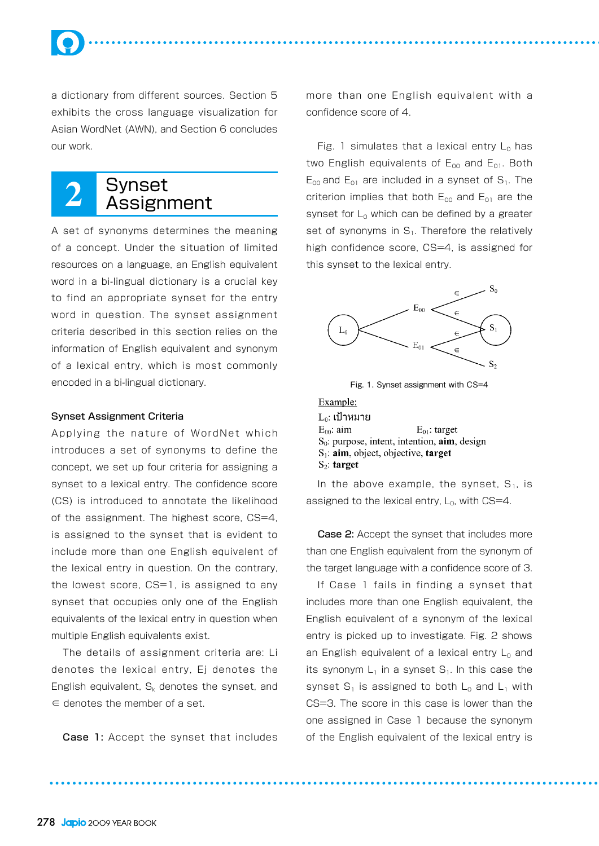a dictionary from different sources. Section 5 exhibits the cross language visualization for Asian WordNet (AWN), and Section 6 concludes our work.

### **2** Synset Assignment

A set of synonyms determines the meaning of a concept. Under the situation of limited resources on a language, an English equivalent word in a bi-lingual dictionary is a crucial key to find an appropriate synset for the entry word in question. The synset assignment criteria described in this section relies on the information of English equivalent and synonym of a lexical entry, which is most commonly encoded in a bi-lingual dictionary.

#### Synset Assignment Criteria

Applying the nature of WordNet which introduces a set of synonyms to define the concept, we set up four criteria for assigning a synset to a lexical entry. The confidence score (CS) is introduced to annotate the likelihood of the assignment. The highest score, CS=4, is assigned to the synset that is evident to include more than one English equivalent of the lexical entry in question. On the contrary, the lowest score, CS=1, is assigned to any synset that occupies only one of the English equivalents of the lexical entry in question when multiple English equivalents exist.

The details of assignment criteria are: Li denotes the lexical entry, Ej denotes the English equivalent,  $S_k$  denotes the synset, and ∈ denotes the member of a set.

Case 1: Accept the synset that includes

more than one English equivalent with a confidence score of 4.

Fig. 1 simulates that a lexical entry  $L_0$  has two English equivalents of  $E_{00}$  and  $E_{01}$ . Both  $E_{00}$  and  $E_{01}$  are included in a synset of  $S_1$ . The criterion implies that both  $E_{00}$  and  $E_{01}$  are the synset for  $L_0$  which can be defined by a greater set of synonyms in  $S_1$ . Therefore the relatively high confidence score, CS=4, is assigned for this synset to the lexical entry.



Fig. 1. Synset assignment with CS=4

Example:  $L_0$ : เป้าหมาย  $E_{00}$ : aim  $E_{01}$ : target  $S_0$ : purpose, intent, intention, aim, design  $S_1$ : aim, object, objective, target  $S_2$ : target

In the above example, the synset,  $S_1$ , is assigned to the lexical entry,  $L_0$ , with  $CS=4$ .

Case 2: Accept the synset that includes more than one English equivalent from the synonym of the target language with a confidence score of 3.

If Case 1 fails in finding a synset that includes more than one English equivalent, the English equivalent of a synonym of the lexical entry is picked up to investigate. Fig. 2 shows an English equivalent of a lexical entry  $L_0$  and its synonym  $L_1$  in a synset  $S_1$ . In this case the synset  $S_1$  is assigned to both  $L_0$  and  $L_1$  with CS=3. The score in this case is lower than the one assigned in Case 1 because the synonym of the English equivalent of the lexical entry is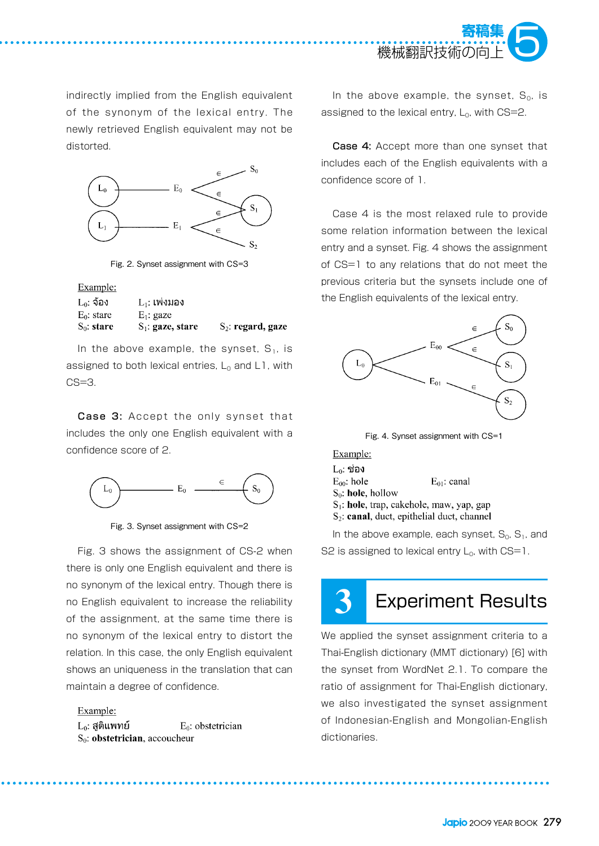

indirectly implied from the English equivalent of the synonym of the lexical entry. The newly retrieved English equivalent may not be distorted.



Fig. 2. Synset assignment with CS=3

Example:

| $L_0$ : จ้อง  | $L_1$ : เพ่งมอง     |                      |
|---------------|---------------------|----------------------|
| $E_0$ : stare | $E_1$ : gaze        |                      |
| $S_0$ : stare | $S_1$ : gaze, stare | $S_2$ : regard, gaze |

In the above example, the synset,  $S_1$ , is assigned to both lexical entries,  $L_0$  and L1, with  $CS = 3$ .

Case 3: Accept the only synset that includes the only one English equivalent with a confidence score of 2.



Fig. 3. Synset assignment with CS=2

Fig. 3 shows the assignment of CS-2 when there is only one English equivalent and there is no synonym of the lexical entry. Though there is no English equivalent to increase the reliability of the assignment, at the same time there is no synonym of the lexical entry to distort the relation. In this case, the only English equivalent shows an uniqueness in the translation that can maintain a degree of confidence.

Example:  $L_0$ : สูติแพทย์ E<sub>0</sub>: obstetrician  $S_0$ : obstetrician, accoucheur

In the above example, the synset,  $S_0$ , is assigned to the lexical entry,  $L_0$ , with CS=2.

Case 4: Accept more than one synset that includes each of the English equivalents with a confidence score of 1.

Case 4 is the most relaxed rule to provide some relation information between the lexical entry and a synset. Fig. 4 shows the assignment of CS=1 to any relations that do not meet the previous criteria but the synsets include one of the English equivalents of the lexical entry.



Fig. 4. Synset assignment with CS=1

| Example:             |                                                        |
|----------------------|--------------------------------------------------------|
| L∩: ช่อง             |                                                        |
| $E_{00}$ : hole      | $E_{01}$ : canal                                       |
| $S_0$ : hole, hollow |                                                        |
|                      | $S_1$ : hole, trap, cakehole, maw, yap, gap            |
|                      | S <sub>2</sub> : canal, duct, epithelial duct, channel |

In the above example, each synset,  $S_0$ ,  $S_1$ , and S2 is assigned to lexical entry  $L_0$ , with CS=1.

# **3** Experiment Results

We applied the synset assignment criteria to a Thai-English dictionary (MMT dictionary) [6] with the synset from WordNet 2.1. To compare the ratio of assignment for Thai-English dictionary, we also investigated the synset assignment of Indonesian-English and Mongolian-English dictionaries.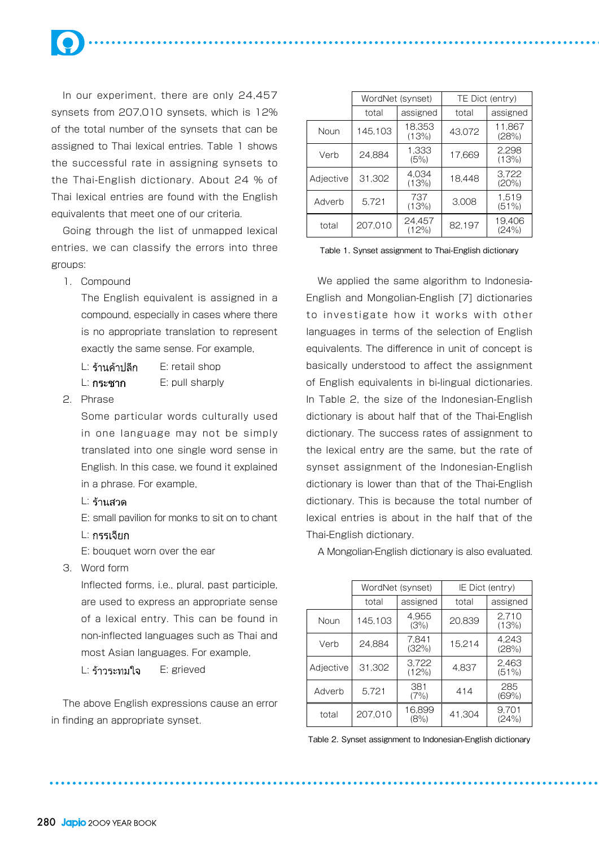

In our experiment, there are only 24,457 synsets from 207,010 synsets, which is 12% of the total number of the synsets that can be assigned to Thai lexical entries. Table 1 shows the successful rate in assigning synsets to the Thai-English dictionary. About 24 % of Thai lexical entries are found with the English equivalents that meet one of our criteria.

Going through the list of unmapped lexical entries, we can classify the errors into three groups:

1. Compound

The English equivalent is assigned in a compound, especially in cases where there is no appropriate translation to represent exactly the same sense. For example,

 $L: \xi$ านค้าปลีก E: retail shop L: E: pull sharply

2. Phrase

Some particular words culturally used in one language may not be simply translated into one single word sense in English. In this case, we found it explained in a phrase. For example,

- L: ร้านสวด
- E: small pavilion for monks to sit on to chant
- L: กรรเจียก
- E: bouquet worn over the ear
- 3. Word form

Inflected forms, i.e., plural, past participle, are used to express an appropriate sense of a lexical entry. This can be found in non-inflected languages such as Thai and most Asian languages. For example,

 $L: \xi$ าวระทมใจ  $E:$  grieved

The above English expressions cause an error in finding an appropriate synset.

|           | WordNet (synset) |                 |        | TE Dict (entry) |  |  |
|-----------|------------------|-----------------|--------|-----------------|--|--|
|           | total            | assigned        | total  | assigned        |  |  |
| Noun      | 145,103          | 18,353<br>(13%) | 43.072 | 11.867<br>(28%) |  |  |
| Verb      | 24.884           | 1.333<br>(5%)   | 17,669 | 2.298<br>(13%)  |  |  |
| Adjective | 31.302           | 4.034<br>(13%)  | 18.448 | 3.722<br>(20%)  |  |  |
| Adverb    | 5.721            | 737<br>(13%)    | 3,008  | 1.519<br>(51%)  |  |  |
| total     | 207.010          | 24.457<br>(12%) | 82,197 | 19.406<br>(24%) |  |  |

Table 1. Synset assignment to Thai-English dictionary

We applied the same algorithm to Indonesia-English and Mongolian-English [7] dictionaries to investigate how it works with other languages in terms of the selection of English equivalents. The difference in unit of concept is basically understood to affect the assignment of English equivalents in bi-lingual dictionaries. In Table 2, the size of the Indonesian-English dictionary is about half that of the Thai-English dictionary. The success rates of assignment to the lexical entry are the same, but the rate of synset assignment of the Indonesian-English dictionary is lower than that of the Thai-English dictionary. This is because the total number of lexical entries is about in the half that of the Thai-English dictionary.

A Mongolian-English dictionary is also evaluated.

|           | WordNet (synset) |                   |        | IE Dict (entry) |
|-----------|------------------|-------------------|--------|-----------------|
|           | total            | assigned<br>total |        | assigned        |
| Noun      | 145,103          | 4,955<br>(3%)     | 20.839 | 2.710<br>(13%)  |
| Verb      | 24.884           | 7.841<br>(32%)    | 15,214 | 4.243<br>(28%)  |
| Adjective | 31.302           | 3.722<br>(12%)    | 4.837  | 2.463<br>(51%)  |
| Adverb    | 5.721            | 381<br>(7%)       | 414    | 285<br>(69%)    |
| total     | 207.010          | 16.899<br>(8%)    | 41.304 | 9.701<br>(24%)  |

Table 2. Synset assignment to Indonesian-English dictionary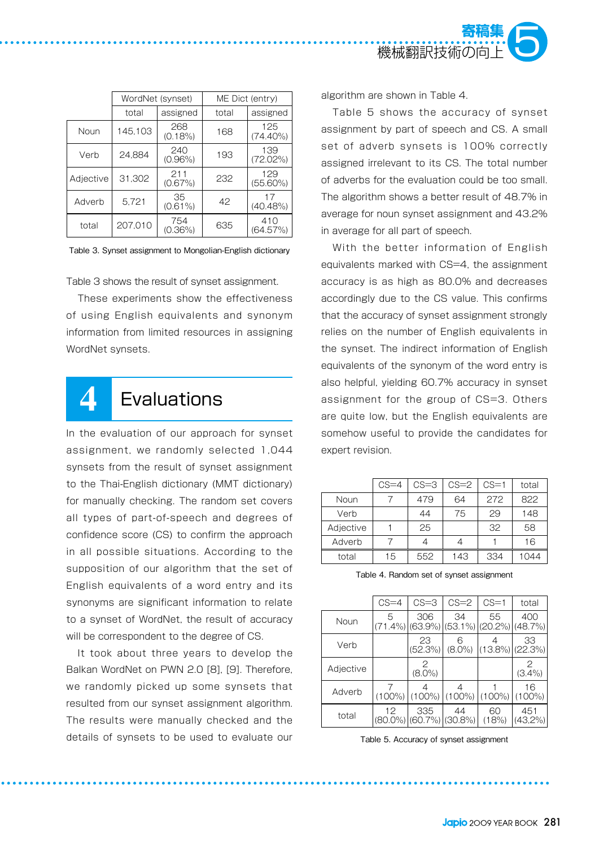

|           | WordNet (synset) |                   |     | ME Dict (entry)    |
|-----------|------------------|-------------------|-----|--------------------|
|           | total            | assigned          |     | assigned           |
| Noun      | 145,103          | 268<br>$(0.18\%)$ | 168 | 125<br>$(74.40\%)$ |
| Verb      | 24.884           | 240<br>$(0.96\%)$ | 193 | 139<br>(72.02%)    |
| Adjective | 31.302           | 211<br>(0.67%)    | 232 | 129<br>$(55.60\%)$ |
| Adverb    | 5.721            | 35<br>$(0.61\%)$  | 42  | 17<br>$(40.48\%)$  |
| total     | 207.010          | 754<br>$(0.36\%)$ | 635 | 410<br>(64.57%)    |

Table 3. Synset assignment to Mongolian-English dictionary

Table 3 shows the result of synset assignment.

These experiments show the effectiveness of using English equivalents and synonym information from limited resources in assigning WordNet synsets.

### **4** Evaluations

In the evaluation of our approach for synset assignment, we randomly selected 1,044 synsets from the result of synset assignment to the Thai-English dictionary (MMT dictionary) for manually checking. The random set covers all types of part-of-speech and degrees of confidence score (CS) to confirm the approach in all possible situations. According to the supposition of our algorithm that the set of English equivalents of a word entry and its synonyms are significant information to relate to a synset of WordNet, the result of accuracy will be correspondent to the degree of CS.

It took about three years to develop the Balkan WordNet on PWN 2.0 [8], [9]. Therefore, we randomly picked up some synsets that resulted from our synset assignment algorithm. The results were manually checked and the details of synsets to be used to evaluate our algorithm are shown in Table 4.

Table 5 shows the accuracy of synset assignment by part of speech and CS. A small set of adverb synsets is 100% correctly assigned irrelevant to its CS. The total number of adverbs for the evaluation could be too small. The algorithm shows a better result of 48.7% in average for noun synset assignment and 43.2% in average for all part of speech.

With the better information of English equivalents marked with CS=4, the assignment accuracy is as high as 80.0% and decreases accordingly due to the CS value. This confirms that the accuracy of synset assignment strongly relies on the number of English equivalents in the synset. The indirect information of English equivalents of the synonym of the word entry is also helpful, yielding 60.7% accuracy in synset assignment for the group of CS=3. Others are quite low, but the English equivalents are somehow useful to provide the candidates for expert revision.

|           | $CS = 4$ | $CS = 3$ | $CS=2$ | $CS = 1$ | total |
|-----------|----------|----------|--------|----------|-------|
| Noun      |          | 479      | 64     | 272      | 822   |
| Verb      |          | 44       | 75     | 29       | 148   |
| Adjective |          | 25       |        | 32       | 58    |
| Adverb    |          |          |        |          | 16    |
| total     | 15       | 552      | 143    | 334      | ገ44   |

|           | $CS = 4$  | $CS = 3$                                | $CS = 2$                                          | $CS=1$             | total             |
|-----------|-----------|-----------------------------------------|---------------------------------------------------|--------------------|-------------------|
| Noun      | 5         | 306                                     | 34<br>$(71.4\%)$  (63.9%) (53.1%) (20.2%) (48.7%) | 55                 | 400               |
| Verb      |           | 23<br>(52.3%)                           | 6<br>$(8.0\%)$                                    | $(13.8\%)$ (22.3%) | 33                |
| Adjective |           | 2<br>$(8.0\%)$                          |                                                   |                    | 2<br>$(3.4\%)$    |
| Adverb    | $(100\%)$ | $(100\%)$                               | $(100\%)$                                         | $(100\%)$          | 16<br>$(100\%)$   |
| total     | 12        | 335<br>$(80.0\%)$ $(60.7\%)$ $(30.8\%)$ | 44                                                | 60<br>(18%)        | 451<br>$(43,2\%)$ |

Table 4. Random set of synset assignment

Table 5. Accuracy of synset assignment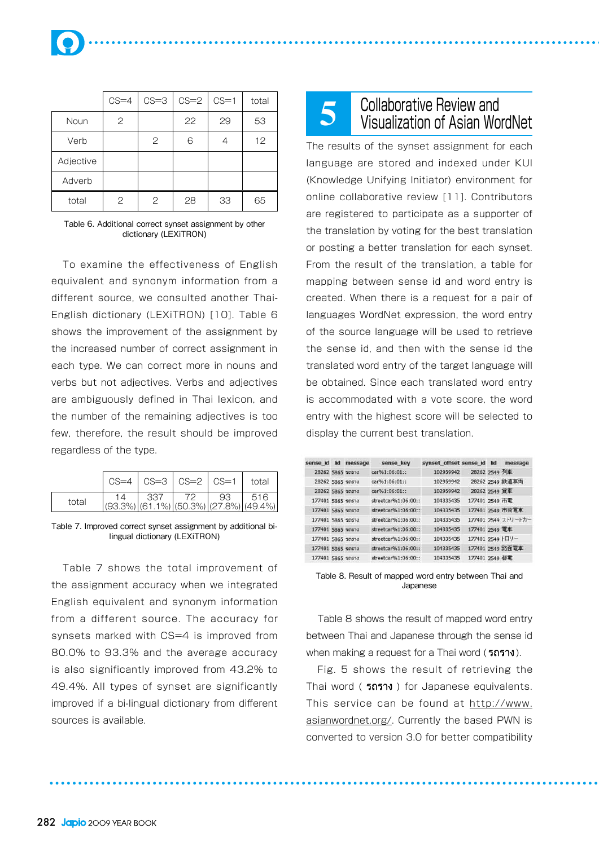|           | $CS = 4$ | $CS = 3$ | $CS = 2$ | $CS = 1$ | total |
|-----------|----------|----------|----------|----------|-------|
| Noun      | 2        |          | 22       | 29       | 53    |
| Verb      |          | 2        | 6        |          | 12    |
| Adjective |          |          |          |          |       |
| Adverb    |          |          |          |          |       |
| total     | 2        | 2        | 28       | 33       | 65    |

Table 6. Additional correct synset assignment by other dictionary (LEXiTRON)

To examine the effectiveness of English equivalent and synonym information from a different source, we consulted another Thai-English dictionary (LEXiTRON) [10]. Table 6 shows the improvement of the assignment by the increased number of correct assignment in each type. We can correct more in nouns and verbs but not adjectives. Verbs and adjectives are ambiguously defined in Thai lexicon, and the number of the remaining adjectives is too few, therefore, the result should be improved regardless of the type.

|       |                                                                                                                                                       | $CS=4$ $CS=3$ $CS=2$ $CS=1$ total |  |  |
|-------|-------------------------------------------------------------------------------------------------------------------------------------------------------|-----------------------------------|--|--|
| total | $\begin{array}{ c c c c c c c c } \hline 14 & 337 & 72 & 93 & 516 \ \hline (93.3\%) & (61.1\%) & (50.3\%) & (27.8\%) & (49.4\%) \ \hline \end{array}$ |                                   |  |  |

Table 7. Improved correct synset assignment by additional bilingual dictionary (LEXiTRON)

Table 7 shows the total improvement of the assignment accuracy when we integrated English equivalent and synonym information from a different source. The accuracy for synsets marked with CS=4 is improved from 80.0% to 93.3% and the average accuracy is also significantly improved from 43.2% to 49.4%. All types of synset are significantly improved if a bi-lingual dictionary from different sources is available.

# **5** Collaborative Review and Visualization of Asian WordNet

The results of the synset assignment for each language are stored and indexed under KUI (Knowledge Unifying Initiator) environment for online collaborative review [11]. Contributors are registered to participate as a supporter of the translation by voting for the best translation or posting a better translation for each synset. From the result of the translation, a table for mapping between sense id and word entry is created. When there is a request for a pair of languages WordNet expression, the word entry of the source language will be used to retrieve the sense id, and then with the sense id the translated word entry of the target language will be obtained. Since each translated word entry is accommodated with a vote score, the word entry with the highest score will be selected to display the current best translation.

| sense id lid      | message | sense key           | synset offset sense id lid |                  | message             |
|-------------------|---------|---------------------|----------------------------|------------------|---------------------|
| 28262 5865 รถราง  |         | car961:06:01        | 102959942                  | 28262 2549 列車    |                     |
| 28262 5865 50573  |         | car%1:06:01::       | 102959942                  |                  | 28262 2549 鉄道車両     |
| 28262 5865 50574  |         | car961:06:01::      | 102959942                  | 28262 2549 首車    |                     |
| 177401 5865 รถราง |         | streetcar%1:06:00:: | 104335435                  | 177401 2549 市電   |                     |
| 177401 5865 50573 |         | streetcar%1:06:00:: | 104335435                  |                  | 177401 2549 市街重車    |
| 177401 5865 รถราง |         | streetcar%1:06:00:: | 104335435                  |                  | 177401 2549 ストリートカー |
| 177401 5865 รถราง |         | stractcar%1:06:00:: | 104335435                  | 177401 2549 電車   |                     |
| 177401 5865 รถราง |         | streetcar%1:06:00:: | 104335435                  | 177401 2549 トロリー |                     |
| 177401 5865 รถราง |         | streetcar%1:06:00:: | 104335435                  |                  | 177401 2549 路面電車    |
| 177401 5865 รถราง |         | streetcar%1:06:00:: | 104335435                  | 177401 2549 都電   |                     |

Table 8. Result of mapped word entry between Thai and Japanese

Table 8 shows the result of mapped word entry between Thai and Japanese through the sense id when making a request for a Thai word (5ถราง).

Fig. 5 shows the result of retrieving the Thai word ( הרדה ) for Japanese equivalents. This service can be found at http://www. asianwordnet.org/. Currently the based PWN is converted to version 3.0 for better compatibility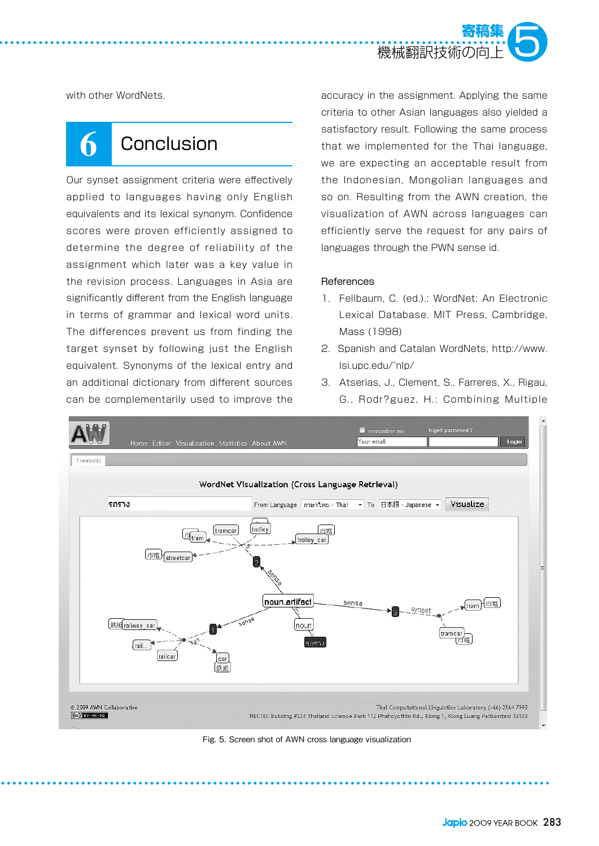

with other WordNets.

## **6** Conclusion

Our synset assignment criteria were effectively applied to languages having only English equivalents and its lexical synonym. Confidence scores were proven efficiently assigned to determine the degree of reliability of the assignment which later was a key value in the revision process. Languages in Asia are significantly different from the English language in terms of grammar and lexical word units. The differences prevent us from finding the target synset by following just the English equivalent. Synonyms of the lexical entry and an additional dictionary from different sources can be complementarily used to improve the

accuracy in the assignment. Applying the same criteria to other Asian languages also yielded a satisfactory result. Following the same process that we implemented for the Thai language, we are expecting an acceptable result from the Indonesian, Mongolian languages and so on. Resulting from the AWN creation, the visualization of AWN across languages can efficiently serve the request for any pairs of languages through the PWN sense id.

#### **References**

- 1. Fellbaum, C. (ed.).: WordNet: An Electronic Lexical Database. MIT Press, Cambridge, Mass (1998)
- 2. Spanish and Catalan WordNets, http://www. lsi.upc.edu/~nlp/
- 3. Atserias, J., Clement, S., Farreres, X., Rigau, G., Rodr?guez, H.: Combining Multiple



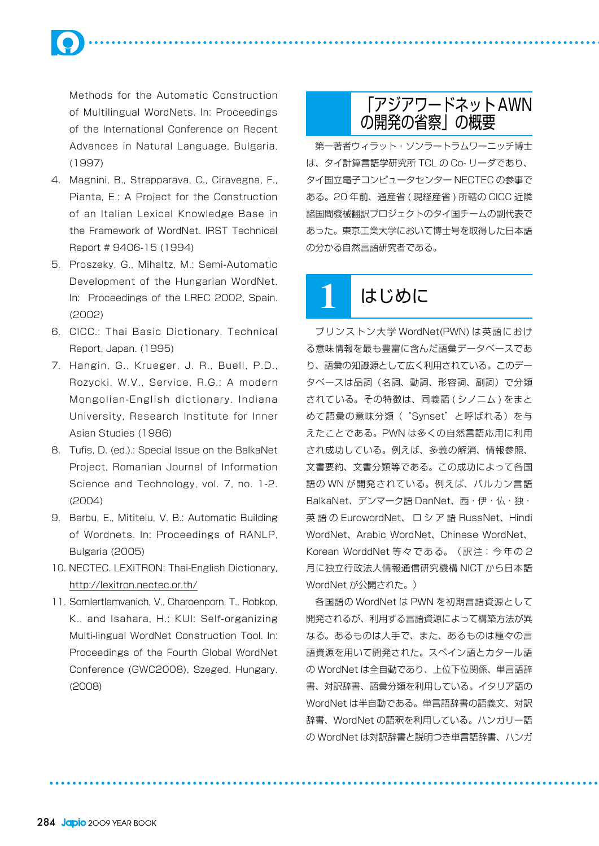Methods for the Automatic Construction of Multilingual WordNets. In: Proceedings of the International Conference on Recent Advances in Natural Language, Bulgaria. (1997)

- 4. Magnini, B., Strapparava, C., Ciravegna, F., Pianta, E.: A Project for the Construction of an Italian Lexical Knowledge Base in the Framework of WordNet. IRST Technical Report # 9406-15 (1994)
- 5. Proszeky, G., Mihaltz, M.: Semi-Automatic Development of the Hungarian WordNet. In: Proceedings of the LREC 2002, Spain. (2002)
- 6. CICC.: Thai Basic Dictionary. Technical Report, Japan. (1995)
- 7. Hangin, G., Krueger, J. R., Buell, P.D., Rozycki, W.V., Service, R.G.: A modern Mongolian-English dictionary. Indiana University, Research Institute for Inner Asian Studies (1986)
- 8. Tufis, D. (ed.).: Special Issue on the BalkaNet Project, Romanian Journal of Information Science and Technology, vol. 7, no. 1-2. (2004)
- 9. Barbu, E., Mititelu, V. B.: Automatic Building of Wordnets. In: Proceedings of RANLP, Bulgaria (2005)
- 10. NECTEC. LEXiTRON: Thai-English Dictionary, http://lexitron.nectec.or.th/
- 11. Sornlertlamvanich, V., Charoenporn, T., Robkop, K., and Isahara, H.: KUI: Self-organizing Multi-lingual WordNet Construction Tool. In: Proceedings of the Fourth Global WordNet Conference (GWC2008), Szeged, Hungary. (2008)

### 「アジアワードネットAWN の開発の省察」の概要

第一著者ウィラット・ソンラートラムワーニッチ博士 は、タイ計算言語学研究所 TCL の Co- リーダであり、 タイ国立電子コンピュータセンター NECTEC の参事で ある。20 年前、通産省 ( 現経産省 ) 所轄の CICC 近隣 諸国間機械翻訳プロジェクトのタイ国チームの副代表で あった。東京工業大学において博士号を取得した日本語 の分かる自然言語研究者である。

## **1** はじめに

プリンストン大学 WordNet(PWN) は英語におけ る意味情報を最も豊富に含んだ語彙データベースであ り、語彙の知識源として広く利用されている。このデー タベースは品詞(名詞、動詞、形容詞、副詞)で分類 されている。その特徴は、同義語 ( シノニム ) をまと めて語彙の意味分類("Svnset"と呼ばれる)を与 えたことである。PWN は多くの自然言語応用に利用 され成功している。例えば、多義の解消、情報参照、 文書要約、文書分類等である。この成功によって各国 語の WN が開発されている。例えば、バルカン言語 BalkaNet、デンマーク語 DanNet、西・伊・仏・独・ 英 語 の EurowordNet、 ロ シ ア 語 RussNet、Hindi WordNet、Arabic WordNet、Chinese WordNet、 Korean WorddNet 等々である。(訳注:今年の 2 月に独立行政法人情報通信研究機構 NICT から日本語 WordNet が公開された。)

各国語の WordNet は PWN を初期言語資源として 開発されるが、利用する言語資源によって構築方法が異 なる。あるものは人手で、また、あるものは種々の言 語資源を用いて開発された。スペイン語とカタール語 の WordNet は全自動であり、上位下位関係、単言語辞 書、対訳辞書、語彙分類を利用している。イタリア語の WordNet は半自動である。単言語辞書の語義文、対訳 辞書、WordNet の語釈を利用している。ハンガリー語 の WordNet は対訳辞書と説明つき単言語辞書、ハンガ